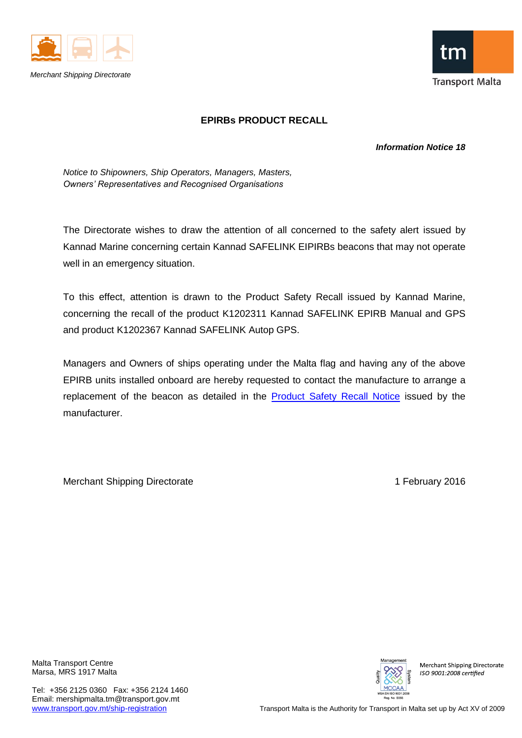



## **EPIRBs PRODUCT RECALL**

## *Information Notice 18*

*Notice to Shipowners, Ship Operators, Managers, Masters, Owners' Representatives and Recognised Organisations*

The Directorate wishes to draw the attention of all concerned to the safety alert issued by Kannad Marine concerning certain Kannad SAFELINK EIPIRBs beacons that may not operate well in an emergency situation.

To this effect, attention is drawn to the Product Safety Recall issued by Kannad Marine, concerning the recall of the product K1202311 Kannad SAFELINK EPIRB Manual and GPS and product K1202367 Kannad SAFELINK Autop GPS.

Managers and Owners of ships operating under the Malta flag and having any of the above EPIRB units installed onboard are hereby requested to contact the manufacture to arrange a replacement of the beacon as detailed in the **Product Safety Recall Notice** issued by the manufacturer.

Merchant Shipping Directorate 1 **February 2016** 

Malta Transport Centre Marsa, MRS 1917 Malta

Tel: +356 2125 0360 Fax: +356 2124 1460 Email: mershipmalta.tm@transport.gov.mt



**Merchant Shipping Directorate** ISO 9001:2008 certified